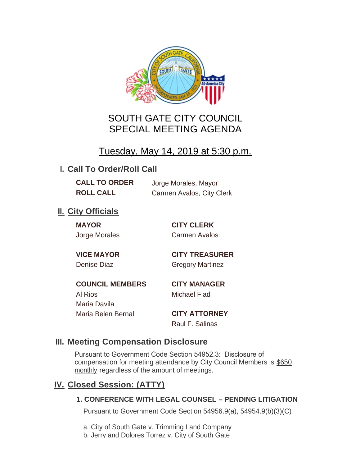

# SOUTH GATE CITY COUNCIL SPECIAL MEETING AGENDA

# Tuesday, May 14, 2019 at 5:30 p.m.

# **I. Call To Order/Roll Call**

**CALL TO ORDER** Jorge Morales, Mayor

**ROLL CALL** Carmen Avalos, City Clerk

# **II.** City Officials

**MAYOR CITY CLERK**

Jorge Morales Carmen Avalos

**VICE MAYOR CITY TREASURER** Denise Diaz Gregory Martinez

**COUNCIL MEMBERS CITY MANAGER** Al Rios Michael Flad Maria Davila Maria Belen Bernal **CITY ATTORNEY**

Raul F. Salinas

### **Meeting Compensation Disclosure III.**

Pursuant to Government Code Section 54952.3: Disclosure of compensation for meeting attendance by City Council Members is \$650 monthly regardless of the amount of meetings.

# **Closed Session: (ATTY) IV.**

### **1. CONFERENCE WITH LEGAL COUNSEL – PENDING LITIGATION**

Pursuant to Government Code Section 54956.9(a), 54954.9(b)(3)(C)

- a. City of South Gate v. Trimming Land Company
- b. Jerry and Dolores Torrez v. City of South Gate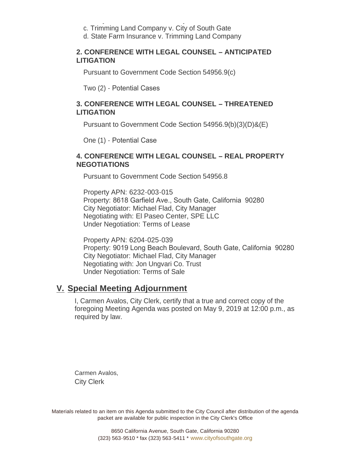- b. Jerry and Dolores Torrez v. City of South Gate c. Trimming Land Company v. City of South Gate
- d. State Farm Insurance v. Trimming Land Company

#### **2. CONFERENCE WITH LEGAL COUNSEL – ANTICIPATED LITIGATION**

Pursuant to Government Code Section 54956.9(c)

Two (2) - Potential Cases

#### **3. CONFERENCE WITH LEGAL COUNSEL – THREATENED LITIGATION**

Pursuant to Government Code Section 54956.9(b)(3)(D)&(E)

One (1) - Potential Case

#### **4. CONFERENCE WITH LEGAL COUNSEL – REAL PROPERTY NEGOTIATIONS**

Pursuant to Government Code Section 54956.8

Property APN: 6232-003-015 Property: 8618 Garfield Ave., South Gate, California 90280 City Negotiator: Michael Flad, City Manager Negotiating with: El Paseo Center, SPE LLC Under Negotiation: Terms of Lease

Property APN: 6204-025-039 Property: 9019 Long Beach Boulevard, South Gate, California 90280 City Negotiator: Michael Flad, City Manager Negotiating with: Jon Ungvari Co. Trust Under Negotiation: Terms of Sale

### **Special Meeting Adjournment V.**

I, Carmen Avalos, City Clerk, certify that a true and correct copy of the foregoing Meeting Agenda was posted on May 9, 2019 at 12:00 p.m., as required by law.

Carmen Avalos, City Clerk

Materials related to an item on this Agenda submitted to the City Council after distribution of the agenda packet are available for public inspection in the City Clerk's Office